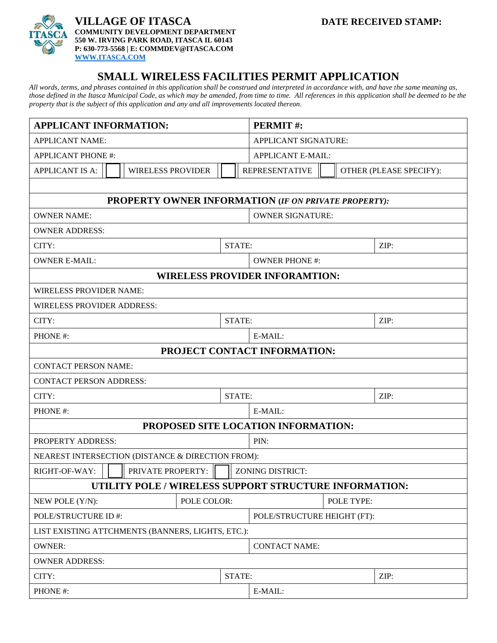

## **VILLAGE OF ITASCA DATE RECEIVED STAMP: COMMUNITY DEVELOPMENT DEPARTMENT 550 W. IRVING PARK ROAD, ITASCA IL 60143 P: 630-773-5568 | E: COMMDEV@ITASCA.COM [WWW.ITASCA.COM](http://www.itasca.com/)**

## **SMALL WIRELESS FACILITIES PERMIT APPLICATION**

*All words, terms, and phrases contained in this application shall be construed and interpreted in accordance with, and have the same meaning as, those defined in the Itasca Municipal Code, as which may be amended, from time to time. All references in this application shall be deemed to be the property that is the subject of this application and any and all improvements located thereon.*

| <b>APPLICANT INFORMATION:</b>                               |                   |  |        | PERMIT#:                    |                                                  |  |      |
|-------------------------------------------------------------|-------------------|--|--------|-----------------------------|--------------------------------------------------|--|------|
| <b>APPLICANT NAME:</b>                                      |                   |  |        | APPLICANT SIGNATURE:        |                                                  |  |      |
| <b>APPLICANT PHONE #:</b>                                   |                   |  |        | <b>APPLICANT E-MAIL:</b>    |                                                  |  |      |
| <b>APPLICANT IS A:</b><br><b>WIRELESS PROVIDER</b>          |                   |  |        |                             | <b>REPRESENTATIVE</b><br>OTHER (PLEASE SPECIFY): |  |      |
|                                                             |                   |  |        |                             |                                                  |  |      |
| <b>PROPERTY OWNER INFORMATION (IF ON PRIVATE PROPERTY):</b> |                   |  |        |                             |                                                  |  |      |
| <b>OWNER NAME:</b>                                          |                   |  |        | <b>OWNER SIGNATURE:</b>     |                                                  |  |      |
| <b>OWNER ADDRESS:</b>                                       |                   |  |        |                             |                                                  |  |      |
| CITY:                                                       |                   |  |        | STATE:                      |                                                  |  | ZIP: |
| <b>OWNER E-MAIL:</b>                                        |                   |  |        | <b>OWNER PHONE #:</b>       |                                                  |  |      |
| <b>WIRELESS PROVIDER INFORAMTION:</b>                       |                   |  |        |                             |                                                  |  |      |
| <b>WIRELESS PROVIDER NAME:</b>                              |                   |  |        |                             |                                                  |  |      |
| <b>WIRELESS PROVIDER ADDRESS:</b>                           |                   |  |        |                             |                                                  |  |      |
| CITY:                                                       |                   |  |        | STATE:                      |                                                  |  | ZIP: |
| PHONE #:                                                    |                   |  |        |                             | E-MAIL:                                          |  |      |
| PROJECT CONTACT INFORMATION:                                |                   |  |        |                             |                                                  |  |      |
| <b>CONTACT PERSON NAME:</b>                                 |                   |  |        |                             |                                                  |  |      |
| <b>CONTACT PERSON ADDRESS:</b>                              |                   |  |        |                             |                                                  |  |      |
| CITY:                                                       |                   |  | STATE: |                             | ZIP:                                             |  |      |
| PHONE#:                                                     |                   |  |        | $E-MAIL:$                   |                                                  |  |      |
| PROPOSED SITE LOCATION INFORMATION:                         |                   |  |        |                             |                                                  |  |      |
| PROPERTY ADDRESS:                                           |                   |  |        | PIN:                        |                                                  |  |      |
| NEAREST INTERSECTION (DISTANCE & DIRECTION FROM):           |                   |  |        |                             |                                                  |  |      |
| RIGHT-OF-WAY:                                               | PRIVATE PROPERTY: |  |        | <b>ZONING DISTRICT:</b>     |                                                  |  |      |
| UTILITY POLE / WIRELESS SUPPORT STRUCTURE INFORMATION:      |                   |  |        |                             |                                                  |  |      |
| POLE COLOR:<br>NEW POLE (Y/N):                              |                   |  |        | POLE TYPE:                  |                                                  |  |      |
| POLE/STRUCTURE ID #:                                        |                   |  |        | POLE/STRUCTURE HEIGHT (FT): |                                                  |  |      |
| LIST EXISTING ATTCHMENTS (BANNERS, LIGHTS, ETC.):           |                   |  |        |                             |                                                  |  |      |
| <b>OWNER:</b>                                               |                   |  |        |                             | <b>CONTACT NAME:</b>                             |  |      |
| <b>OWNER ADDRESS:</b>                                       |                   |  |        |                             |                                                  |  |      |
| CITY:<br>STATE:                                             |                   |  |        | ZIP:                        |                                                  |  |      |
| PHONE #:                                                    |                   |  |        | E-MAIL:                     |                                                  |  |      |